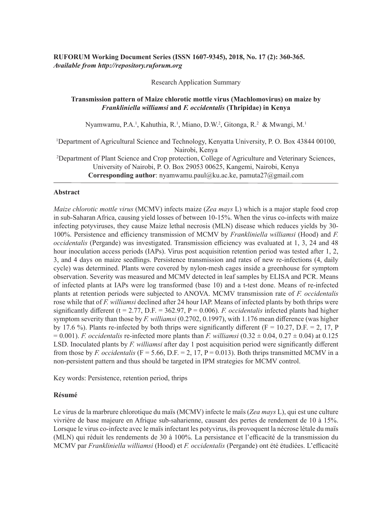# **RUFORUM Working Document Series (ISSN 1607-9345), 2018, No. 17 (2): 360-365.** *Available from http://repository.ruforum.org*

Research Application Summary

## **Transmission pattern of Maize chlorotic mottle virus (Machlomovirus) on maize by**  *Frankliniella williamsi* **and** *F. occidentalis* **(Thripidae) in Kenya**

Nyamwamu, P.A.<sup>1</sup>, Kahuthia, R.<sup>1</sup>, Miano, D.W.<sup>2</sup>, Gitonga, R.<sup>2</sup> & Mwangi, M.<sup>1</sup>

<sup>1</sup>Department of Agricultural Science and Technology, Kenyatta University, P. O. Box 43844 00100, Nairobi, Kenya <sup>2</sup>Department of Plant Science and Crop protection, College of Agriculture and Veterinary Sciences, University of Nairobi, P. O. Box 29053 00625, Kangemi, Nairobi, Kenya **Corresponding author**: nyamwamu.paul@ku.ac.ke, pamuta27@gmail.com

## **Abstract**

*Maize chlorotic mottle virus* (MCMV) infects maize (*Zea mays* L) which is a major staple food crop in sub-Saharan Africa, causing yield losses of between 10-15%. When the virus co-infects with maize infecting potyviruses, they cause Maize lethal necrosis (MLN) disease which reduces yields by 30- 100%. Persistence and efficiency transmission of MCMV by *Frankliniella williamsi* (Hood) and *F. occidentalis* (Pergande) was investigated. Transmission efficiency was evaluated at 1, 3, 24 and 48 hour inoculation access periods (IAPs). Virus post acquisition retention period was tested after 1, 2, 3, and 4 days on maize seedlings. Persistence transmission and rates of new re-infections (4, daily cycle) was determined. Plants were covered by nylon-mesh cages inside a greenhouse for symptom observation. Severity was measured and MCMV detected in leaf samples by ELISA and PCR. Means of infected plants at IAPs were log transformed (base 10) and a t-test done. Means of re-infected plants at retention periods were subjected to ANOVA. MCMV transmission rate of *F. occidentalis*  rose while that of *F. williamsi* declined after 24 hour IAP. Means of infected plants by both thrips were significantly different ( $t = 2.77$ , D.F. = 362.97, P = 0.006). *F. occidentalis* infected plants had higher symptom severity than those by *F. williamsi* (0.2702, 0.1997), with 1.176 mean difference (was higher by 17.6 %). Plants re-infected by both thrips were significantly different ( $F = 10.27$ , D.F. = 2, 17, P  $= 0.001$ ). *F. occidentalis* re-infected more plants than *F. williamsi*  $(0.32 \pm 0.04, 0.27 \pm 0.04)$  at 0.125 LSD. Inoculated plants by *F. williamsi* after day 1 post acquisition period were significantly different from those by *F. occidentalis* (F = 5.66, D.F. = 2, 17, P = 0.013). Both thrips transmitted MCMV in a non-persistent pattern and thus should be targeted in IPM strategies for MCMV control.

Key words: Persistence, retention period, thrips

## **Résumé**

Le virus de la marbrure chlorotique du maïs (MCMV) infecte le maïs (*Zea mays* L), qui est une culture vivrière de base majeure en Afrique sub-saharienne, causant des pertes de rendement de 10 à 15%. Lorsque le virus co-infecte avec le maïs infectant les potyvirus, ils provoquent la nécrose létale du maïs (MLN) qui réduit les rendements de 30 à 100%. La persistance et l'efficacité de la transmission du MCMV par *Frankliniella williamsi* (Hood) et *F. occidentalis* (Pergande) ont été étudiées. L'efficacité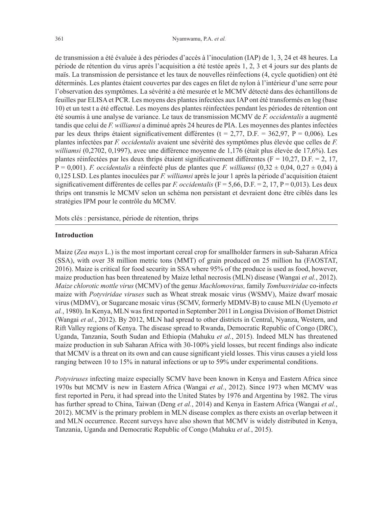de transmission a été évaluée à des périodes d'accès à l'inoculation (IAP) de 1, 3, 24 et 48 heures. La période de rétention du virus après l'acquisition a été testée après 1, 2, 3 et 4 jours sur des plants de maïs. La transmission de persistance et les taux de nouvelles réinfections (4, cycle quotidien) ont été déterminés. Les plantes étaient couvertes par des cages en filet de nylon à l'intérieur d'une serre pour l'observation des symptômes. La sévérité a été mesurée et le MCMV détecté dans des échantillons de feuilles par ELISA et PCR. Les moyens des plantes infectées aux IAP ont été transformés en log (base 10) et un test t a été effectué. Les moyens des plantes réinfectées pendant les périodes de rétention ont été soumis à une analyse de variance. Le taux de transmission MCMV de *F. occidentalis* a augmenté tandis que celui de *F. williamsi* a diminué après 24 heures de PIA. Les moyennes des plantes infectées par les deux thrips étaient significativement différentes ( $t = 2.77$ , D.F. = 362,97, P = 0,006). Les plantes infectées par *F. occidentalis* avaient une sévérité des symptômes plus élevée que celles de *F. williamsi* (0,2702, 0,1997), avec une différence moyenne de 1,176 (était plus élevée de 17,6%). Les plantes réinfectées par les deux thrips étaient significativement différentes ( $F = 10,27$ , D.F. = 2, 17, P = 0,001). *F. occidentalis* a réinfecté plus de plantes que *F. williamsi* (0,32 ± 0,04, 0,27 ± 0,04) à 0,125 LSD. Les plantes inoculées par *F. williamsi* après le jour 1 après la période d'acquisition étaient significativement différentes de celles par *F. occidentalis* (F = 5,66, D.F. = 2, 17, P = 0,013). Les deux thrips ont transmis le MCMV selon un schéma non persistant et devraient donc être ciblés dans les stratégies IPM pour le contrôle du MCMV.

Mots clés : persistance, période de rétention, thrips

#### **Introduction**

Maize (*Zea mays* L.) is the most important cereal crop for smallholder farmers in sub-Saharan Africa (SSA), with over 38 million metric tons (MMT) of grain produced on 25 million ha (FAOSTAT, 2016). Maize is critical for food security in SSA where 95% of the produce is used as food, however, maize production has been threatened by Maize lethal necrosis (MLN) disease (Wangai *et al.*, 2012). *Maize chlorotic mottle virus* (MCMV) of the genu*s Machlomovirus,* family *Tombusviridae* co-infects maize with *Potyviridae viruses* such as Wheat streak mosaic virus (WSMV), Maize dwarf mosaic virus (MDMV), or Sugarcane mosaic virus (SCMV, formerly MDMV-B) to cause MLN (Uyemoto *et al.*, 1980). In Kenya, MLN was first reported in September 2011 in Longisa Division of Bomet District (Wangai *et al.*, 2012). By 2012, MLN had spread to other districts in Central, Nyanza, Western, and Rift Valley regions of Kenya. The disease spread to Rwanda, Democratic Republic of Congo (DRC), Uganda, Tanzania, South Sudan and Ethiopia (Mahuku *et al.*, 2015). Indeed MLN has threatened maize production in sub Saharan Africa with 30-100% yield losses, but recent findings also indicate that MCMV is a threat on its own and can cause significant yield losses. This virus causes a yield loss ranging between 10 to 15% in natural infections or up to 59% under experimental conditions.

*Potyviruses* infecting maize especially SCMV have been known in Kenya and Eastern Africa since 1970s but MCMV is new in Eastern Africa (Wangai *et al.*, 2012). Since 1973 when MCMV was first reported in Peru, it had spread into the United States by 1976 and Argentina by 1982. The virus has further spread to China, Taiwan (Deng *et al.*, 2014) and Kenya in Eastern Africa (Wangai *et al.*, 2012). MCMV is the primary problem in MLN disease complex as there exists an overlap between it and MLN occurrence. Recent surveys have also shown that MCMV is widely distributed in Kenya, Tanzania, Uganda and Democratic Republic of Congo (Mahuku *et al.*, 2015).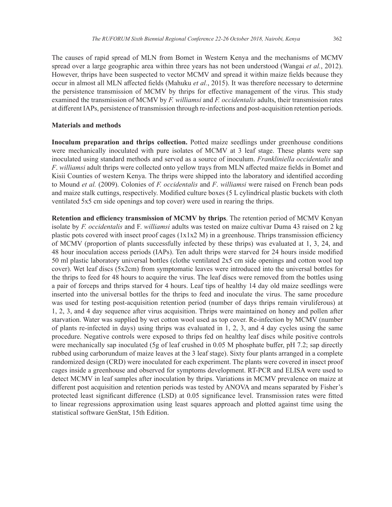The causes of rapid spread of MLN from Bomet in Western Kenya and the mechanisms of MCMV spread over a large geographic area within three years has not been understood (Wangai *et al.*, 2012). However, thrips have been suspected to vector MCMV and spread it within maize fields because they occur in almost all MLN affected fields (Mahuku *et al.*, 2015). It was therefore necessary to determine the persistence transmission of MCMV by thrips for effective management of the virus. This study examined the transmission of MCMV by *F. williamsi* and *F. occidentalis* adults, their transmission rates at different IAPs, persistence of transmission through re-infections and post-acquisition retention periods.

#### **Materials and methods**

**Inoculum preparation and thrips collection.** Potted maize seedlings under greenhouse conditions were mechanically inoculated with pure isolates of MCMV at 3 leaf stage. These plants were sap inoculated using standard methods and served as a source of inoculum. *Frankliniella occidentalis* and *F*. *williamsi* adult thrips were collected onto yellow trays from MLN affected maize fields in Bomet and Kisii Counties of western Kenya. The thrips were shipped into the laboratory and identified according to Mound *et al.* (2009). Colonies of *F. occidentalis* and *F*. *williamsi* were raised on French bean pods and maize stalk cuttings, respectively. Modified culture boxes (5 L cylindrical plastic buckets with cloth ventilated 5x5 cm side openings and top cover) were used in rearing the thrips.

**Retention and efficiency transmission of MCMV by thrips**. The retention period of MCMV Kenyan isolate by *F. occidentalis* and F. *williamsi* adults was tested on maize cultivar Duma 43 raised on 2 kg plastic pots covered with insect proof cages (1x1x2 M) in a greenhouse. Thrips transmission efficiency of MCMV (proportion of plants successfully infected by these thrips) was evaluated at 1, 3, 24, and 48 hour inoculation access periods (IAPs). Ten adult thrips were starved for 24 hours inside modified 50 ml plastic laboratory universal bottles (clothe ventilated 2x5 cm side openings and cotton wool top cover). Wet leaf discs (5x2cm) from symptomatic leaves were introduced into the universal bottles for the thrips to feed for 48 hours to acquire the virus. The leaf discs were removed from the bottles using a pair of forceps and thrips starved for 4 hours. Leaf tips of healthy 14 day old maize seedlings were inserted into the universal bottles for the thrips to feed and inoculate the virus. The same procedure was used for testing post-acquisition retention period (number of days thrips remain viruliferous) at 1, 2, 3, and 4 day sequence after virus acquisition. Thrips were maintained on honey and pollen after starvation. Water was supplied by wet cotton wool used as top cover. Re-infection by MCMV (number of plants re-infected in days) using thrips was evaluated in 1, 2, 3, and 4 day cycles using the same procedure. Negative controls were exposed to thrips fed on healthy leaf discs while positive controls were mechanically sap inoculated (5g of leaf crushed in 0.05 M phosphate buffer, pH 7.2; sap directly rubbed using carborundum of maize leaves at the 3 leaf stage). Sixty four plants arranged in a complete randomized design (CRD) were inoculated for each experiment. The plants were covered in insect proof cages inside a greenhouse and observed for symptoms development. RT-PCR and ELISA were used to detect MCMV in leaf samples after inoculation by thrips. Variations in MCMV prevalence on maize at different post acquisition and retention periods was tested by ANOVA and means separated by Fisher's protected least significant difference (LSD) at 0.05 significance level. Transmission rates were fitted to linear regressions approximation using least squares approach and plotted against time using the statistical software GenStat, 15th Edition.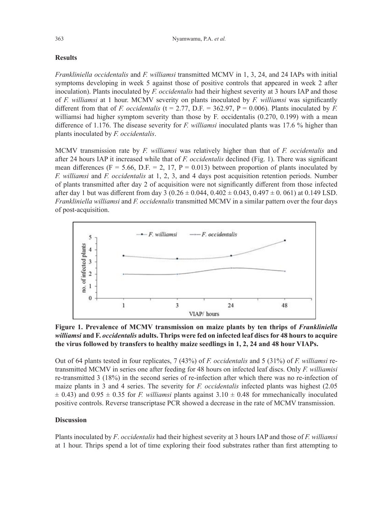## **Results**

*Frankliniella occidentalis* and *F. williamsi* transmitted MCMV in 1, 3, 24, and 24 IAPs with initial symptoms developing in week 5 against those of positive controls that appeared in week 2 after inoculation). Plants inoculated by *F. occidentalis* had their highest severity at 3 hours IAP and those of *F. williamsi* at 1 hour. MCMV severity on plants inoculated by *F. williamsi* was significantly different from that of *F. occidentalis* (t = 2.77, D.F. = 362.97, P = 0.006). Plants inoculated by *F.* williamsi had higher symptom severity than those by F. occidentalis (0.270, 0.199) with a mean difference of 1.176. The disease severity for *F. williamsi* inoculated plants was 17.6 % higher than plants inoculated by *F. occidentalis*.

MCMV transmission rate by *F. williamsi* was relatively higher than that of *F. occidentalis* and after 24 hours IAP it increased while that of *F. occidentalis* declined (Fig. 1). There was significant mean differences (F = 5.66, D.F. = 2, 17, P = 0.013) between proportion of plants inoculated by *F. williamsi* and *F. occidentalis* at 1, 2, 3, and 4 days post acquisition retention periods. Number of plants transmitted after day 2 of acquisition were not significantly different from those infected after day 1 but was different from day 3 ( $0.26 \pm 0.044$ ,  $0.402 \pm 0.043$ ,  $0.497 \pm 0.061$ ) at 0.149 LSD. *Frankliniella williamsi* and *F. occidentalis* transmitted MCMV in a similar pattern over the four days of post-acquisition.



Figure 1. Prevalence of MCMV transmission on maize plants by ten thrips of *Frankliniella williamsi* **and F.** *occidentalis* **adults. Thrips were fed on infected leaf discs for 48 hours to acquire the virus followed by transfers to healthy maize seedlings in 1, 2, 24 and 48 hour VIAPs.**

Out of 64 plants tested in four replicates, 7 (43%) of *F. occidentalis* and 5 (31%) of *F. williamsi* retransmitted MCMV in series one after feeding for 48 hours on infected leaf discs. Only *F. williamisi*  re-transmitted 3 (18%) in the second series of re-infection after which there was no re-infection of maize plants in 3 and 4 series. The severity for *F. occidentalis* infected plants was highest (2.05  $\pm$  0.43) and 0.95  $\pm$  0.35 for *F. williamsi* plants against 3.10  $\pm$  0.48 for mmechanically inoculated positive controls. Reverse transcriptase PCR showed a decrease in the rate of MCMV transmission.

### **Discussion**

Plants inoculated by *F*. *occidentalis* had their highest severity at 3 hours IAP and those of *F. williamsi*  at 1 hour. Thrips spend a lot of time exploring their food substrates rather than first attempting to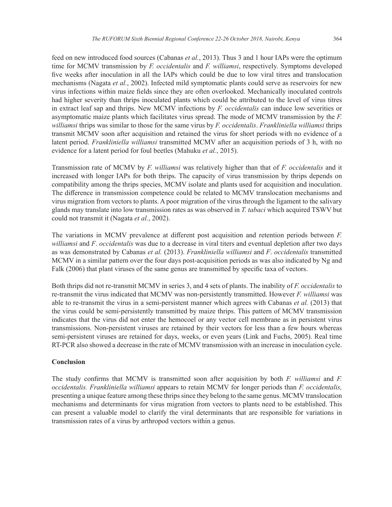feed on new introduced food sources (Cabanas *et al.*, 2013). Thus 3 and 1 hour IAPs were the optimum time for MCMV transmission by *F. occidentalis* and *F. williamsi*, respectively. Symptoms developed five weeks after inoculation in all the IAPs which could be due to low viral titres and translocation mechanisms (Nagata *et al.*, 2002). Infected mild symptomatic plants could serve as reservoirs for new virus infections within maize fields since they are often overlooked. Mechanically inoculated controls had higher severity than thrips inoculated plants which could be attributed to the level of virus titres in extract leaf sap and thrips. New MCMV infections by *F. occidentalis* can induce low severities or asymptomatic maize plants which facilitates virus spread. The mode of MCMV transmission by the *F. williamsi* thrips was similar to those for the same virus by *F. occidentalis*. *Frankliniella williamsi* thrips transmit MCMV soon after acquisition and retained the virus for short periods with no evidence of a latent period. *Frankliniella williamsi* transmitted MCMV after an acquisition periods of 3 h, with no evidence for a latent period for foul beetles (Mahuku *et al.*, 2015).

Transmission rate of MCMV by *F. williamsi* was relatively higher than that of *F. occidentalis* and it increased with longer IAPs for both thrips. The capacity of virus transmission by thrips depends on compatibility among the thrips species, MCMV isolate and plants used for acquisition and inoculation. The difference in transmission competence could be related to MCMV translocation mechanisms and virus migration from vectors to plants. A poor migration of the virus through the ligament to the salivary glands may translate into low transmission rates as was observed in *T. tabaci* which acquired TSWV but could not transmit it (Nagata *et al.*, 2002).

The variations in MCMV prevalence at different post acquisition and retention periods between *F. williamsi* and *F*. *occidentalis* was due to a decrease in viral titers and eventual depletion after two days as was demonstrated by Cabanas *et al.* (2013). *Frankliniella williamsi* and *F*. *occidentalis* transmitted MCMV in a similar pattern over the four days post-acquisition periods as was also indicated by Ng and Falk (2006) that plant viruses of the same genus are transmitted by specific taxa of vectors.

Both thrips did not re-transmit MCMV in series 3, and 4 sets of plants. The inability of *F. occidentalis* to re-transmit the virus indicated that MCMV was non-persistently transmitted. However *F. williamsi* was able to re-transmit the virus in a semi-persistent manner which agrees with Cabanas *et al.* (2013) that the virus could be semi-persistently transmitted by maize thrips. This pattern of MCMV transmission indicates that the virus did not enter the hemocoel or any vector cell membrane as in persistent virus transmissions. Non-persistent viruses are retained by their vectors for less than a few hours whereas semi-persistent viruses are retained for days, weeks, or even years (Link and Fuchs, 2005). Real time RT-PCR also showed a decrease in the rate of MCMV transmission with an increase in inoculation cycle.

### **Conclusion**

The study confirms that MCMV is transmitted soon after acquisition by both *F. williamsi* and *F. occidentalis. Frankliniella williamsi* appears to retain MCMV for longer periods than *F. occidentalis,*  presenting a unique feature among these thrips since they belong to the same genus. MCMV translocation mechanisms and determinants for virus migration from vectors to plants need to be established. This can present a valuable model to clarify the viral determinants that are responsible for variations in transmission rates of a virus by arthropod vectors within a genus.